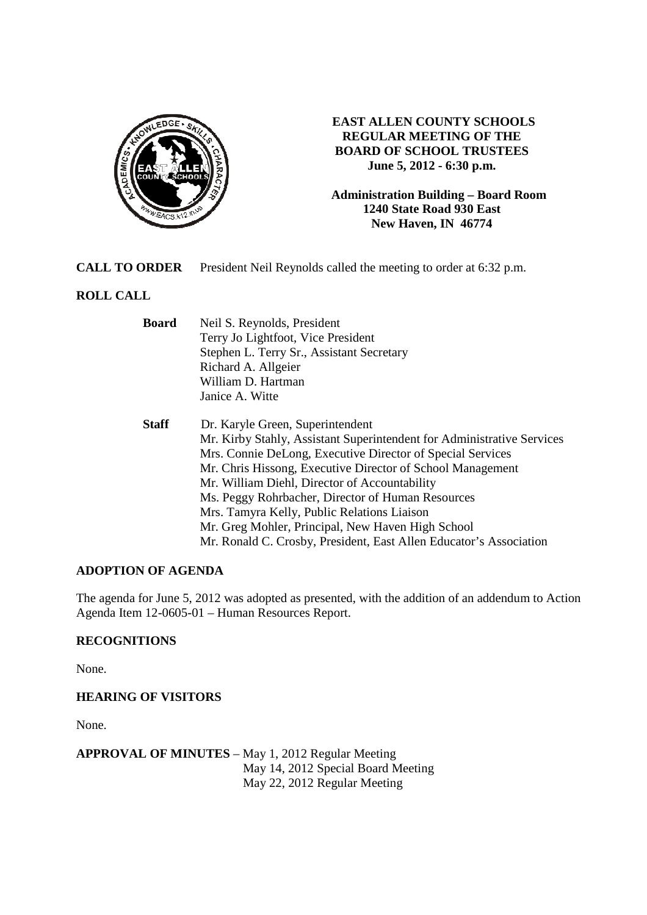

## **EAST ALLEN COUNTY SCHOOLS REGULAR MEETING OF THE BOARD OF SCHOOL TRUSTEES June 5, 2012 - 6:30 p.m.**

**Administration Building – Board Room 1240 State Road 930 East New Haven, IN 46774**

**CALL TO ORDER** President Neil Reynolds called the meeting to order at 6:32 p.m.

# **ROLL CALL**

| <b>Board</b> | Neil S. Reynolds, President<br>Terry Jo Lightfoot, Vice President      |  |  |
|--------------|------------------------------------------------------------------------|--|--|
|              |                                                                        |  |  |
|              | Stephen L. Terry Sr., Assistant Secretary                              |  |  |
|              | Richard A. Allgeier                                                    |  |  |
|              | William D. Hartman                                                     |  |  |
|              | Janice A. Witte                                                        |  |  |
| <b>Staff</b> | Dr. Karyle Green, Superintendent                                       |  |  |
|              | Mr. Kirby Stahly, Assistant Superintendent for Administrative Services |  |  |
|              | Mrs. Connie DeLong, Executive Director of Special Services             |  |  |
|              | Mr. Chris Hissong, Executive Director of School Management             |  |  |
|              | Mr. William Diehl, Director of Accountability                          |  |  |
|              | Ms. Peggy Rohrbacher, Director of Human Resources                      |  |  |
|              | Mrs. Tamyra Kelly, Public Relations Liaison                            |  |  |
|              | Mr. Greg Mohler, Principal, New Haven High School                      |  |  |
|              | Mr. Ronald C. Crosby, President, East Allen Educator's Association     |  |  |

## **ADOPTION OF AGENDA**

The agenda for June 5, 2012 was adopted as presented, with the addition of an addendum to Action Agenda Item 12-0605-01 – Human Resources Report.

## **RECOGNITIONS**

None.

**HEARING OF VISITORS** 

None.

**APPROVAL OF MINUTES** – May 1, 2012 Regular Meeting May 14, 2012 Special Board Meeting May 22, 2012 Regular Meeting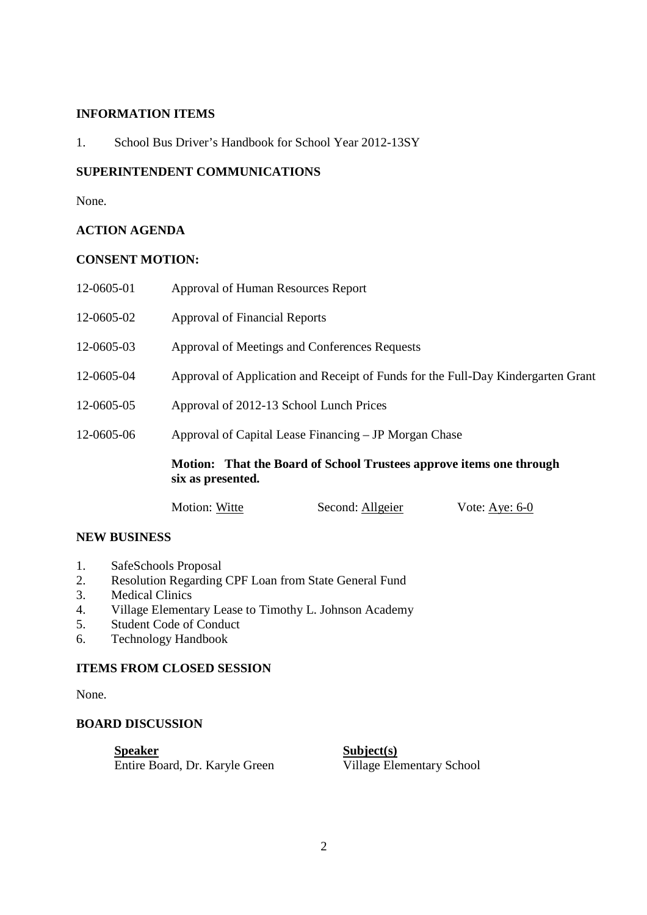## **INFORMATION ITEMS**

1. School Bus Driver's Handbook for School Year 2012-13SY

### **SUPERINTENDENT COMMUNICATIONS**

None.

## **ACTION AGENDA**

### **CONSENT MOTION:**

|            | Motion: That the Board of School Trustees approve items one through<br>six as presented. |  |  |
|------------|------------------------------------------------------------------------------------------|--|--|
| 12-0605-06 | Approval of Capital Lease Financing – JP Morgan Chase                                    |  |  |
| 12-0605-05 | Approval of 2012-13 School Lunch Prices                                                  |  |  |
| 12-0605-04 | Approval of Application and Receipt of Funds for the Full-Day Kindergarten Grant         |  |  |
| 12-0605-03 | Approval of Meetings and Conferences Requests                                            |  |  |
| 12-0605-02 | <b>Approval of Financial Reports</b>                                                     |  |  |
| 12-0605-01 | Approval of Human Resources Report                                                       |  |  |

#### **NEW BUSINESS**

- 1. SafeSchools Proposal
- 2. Resolution Regarding CPF Loan from State General Fund
- 3. Medical Clinics
- 4. Village Elementary Lease to Timothy L. Johnson Academy
- 5. Student Code of Conduct
- 6. Technology Handbook

#### **ITEMS FROM CLOSED SESSION**

None.

### **BOARD DISCUSSION**

**Speaker**<br> **Subject(s)**<br> **Entire Board, Dr. Karyle Green**<br> **Subject(s)**<br> **Subject(s)**<br> **Subject(s)**<br> **Subject(s)** Entire Board, Dr. Karyle Green